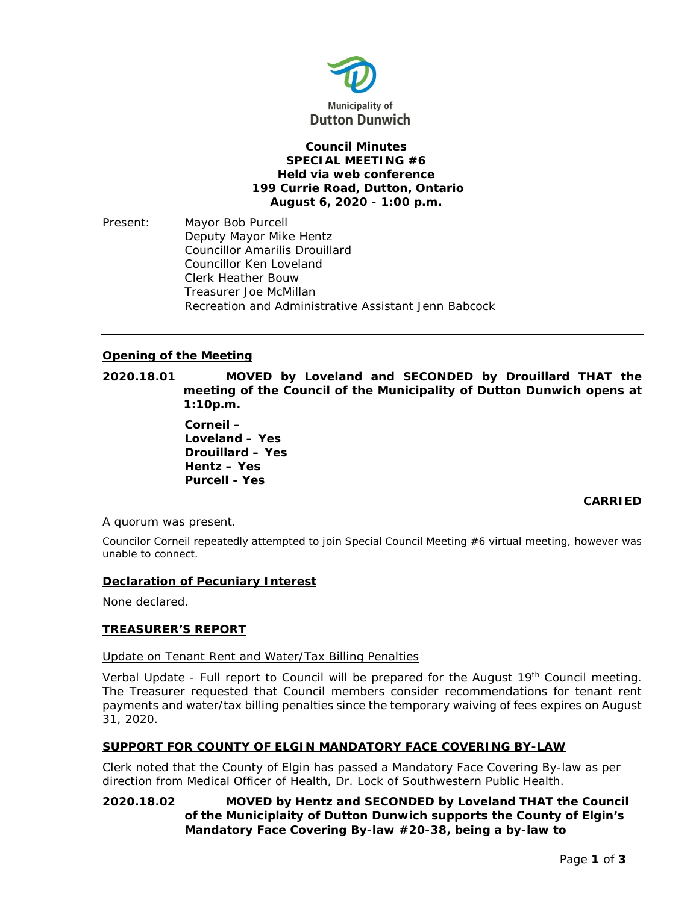

# **Council Minutes SPECIAL MEETING #6 Held via web conference 199 Currie Road, Dutton, Ontario August 6, 2020 - 1:00 p.m.**

Present: Mayor Bob Purcell Deputy Mayor Mike Hentz Councillor Amarilis Drouillard Councillor Ken Loveland Clerk Heather Bouw Treasurer Joe McMillan Recreation and Administrative Assistant Jenn Babcock

# **Opening of the Meeting**

**2020.18.01 MOVED by Loveland and SECONDED by Drouillard THAT the meeting of the Council of the Municipality of Dutton Dunwich opens at 1:10p.m.**

> **Corneil – Loveland – Yes Drouillard – Yes Hentz – Yes Purcell - Yes**

# **CARRIED**

A quorum was present.

Councilor Corneil repeatedly attempted to join Special Council Meeting #6 virtual meeting, however was unable to connect.

### **Declaration of Pecuniary Interest**

None declared.

### **TREASURER'S REPORT**

# Update on Tenant Rent and Water/Tax Billing Penalties

Verbal Update - Full report to Council will be prepared for the August 19<sup>th</sup> Council meeting. The Treasurer requested that Council members consider recommendations for tenant rent payments and water/tax billing penalties since the temporary waiving of fees expires on August 31, 2020.

### **SUPPORT FOR COUNTY OF ELGIN MANDATORY FACE COVERING BY-LAW**

Clerk noted that the County of Elgin has passed a Mandatory Face Covering By-law as per direction from Medical Officer of Health, Dr. Lock of Southwestern Public Health.

# **2020.18.02 MOVED by Hentz and SECONDED by Loveland THAT the Council of the Municiplaity of Dutton Dunwich supports the County of Elgin's Mandatory Face Covering By-law #20-38, being a by-law to**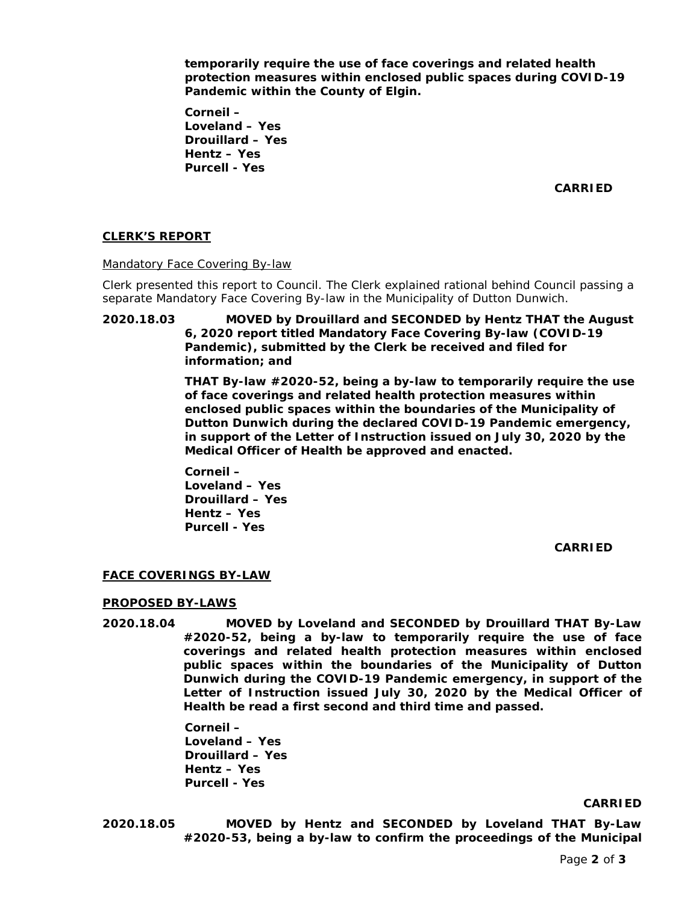**temporarily require the use of face coverings and related health protection measures within enclosed public spaces during COVID-19 Pandemic within the County of Elgin.**

**Corneil – Loveland – Yes Drouillard – Yes Hentz – Yes Purcell - Yes**

**CARRIED**

# **CLERK'S REPORT**

Mandatory Face Covering By-law

Clerk presented this report to Council. The Clerk explained rational behind Council passing a separate Mandatory Face Covering By-law in the Municipality of Dutton Dunwich.

**2020.18.03 MOVED by Drouillard and SECONDED by Hentz THAT the August 6, 2020 report titled Mandatory Face Covering By-law (COVID-19 Pandemic), submitted by the Clerk be received and filed for information; and** 

> **THAT By-law #2020-52, being a by-law to temporarily require the use of face coverings and related health protection measures within enclosed public spaces within the boundaries of the Municipality of Dutton Dunwich during the declared COVID-19 Pandemic emergency, in support of the Letter of Instruction issued on July 30, 2020 by the Medical Officer of Health be approved and enacted.**

**Corneil – Loveland – Yes Drouillard – Yes Hentz – Yes Purcell - Yes**

**CARRIED**

### **FACE COVERINGS BY-LAW**

### **PROPOSED BY-LAWS**

**2020.18.04 MOVED by Loveland and SECONDED by Drouillard THAT By-Law #2020-52, being a by-law to temporarily require the use of face coverings and related health protection measures within enclosed public spaces within the boundaries of the Municipality of Dutton Dunwich during the COVID-19 Pandemic emergency, in support of the Letter of Instruction issued July 30, 2020 by the Medical Officer of Health be read a first second and third time and passed.**

> **Corneil – Loveland – Yes Drouillard – Yes Hentz – Yes**

**Purcell - Yes**

**CARRIED**

**2020.18.05 MOVED by Hentz and SECONDED by Loveland THAT By-Law #2020-53, being a by-law to confirm the proceedings of the Municipal**